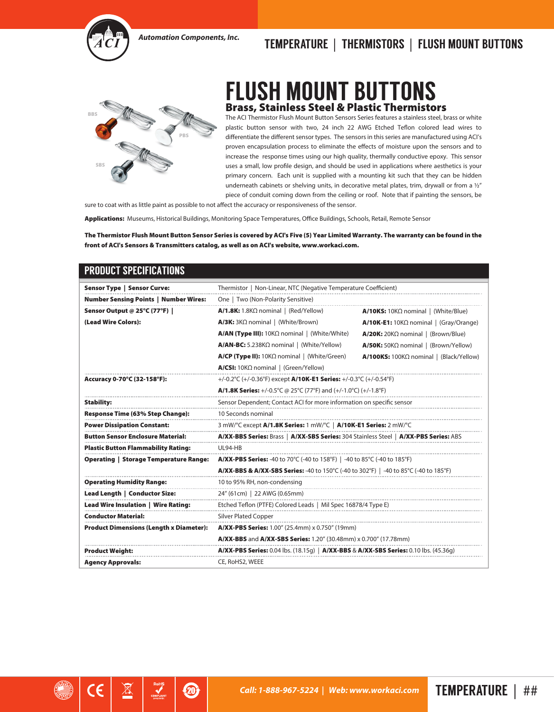

## *Automation Components, Inc.* TEMPERATURE | THERMISTORS | FLUSH MOUNT BUTTONS



## **FLUSH MOUNT BUTTO** Brass, Stainless Steel & Plastic Thermistors

The ACI Thermistor Flush Mount Button Sensors Series features a stainless steel, brass or white plastic button sensor with two, 24 inch 22 AWG Etched Teflon colored lead wires to differentiate the different sensor types. The sensors in this series are manufactured using ACI's proven encapsulation process to eliminate the effects of moisture upon the sensors and to increase the response times using our high quality, thermally conductive epoxy. This sensor uses a small, low profile design, and should be used in applications where aesthetics is your primary concern. Each unit is supplied with a mounting kit such that they can be hidden underneath cabinets or shelving units, in decorative metal plates, trim, drywall or from a 1/2" piece of conduit coming down from the ceiling or roof. Note that if painting the sensors, be

sure to coat with as little paint as possible to not affect the accuracy or responsiveness of the sensor.

 $\mathbf{Z}$ 

႘

Applications: Museums, Historical Buildings, Monitoring Space Temperatures, Office Buildings, Schools, Retail, Remote Sensor

The Thermistor Flush Mount Button Sensor Series is covered by ACI's Five (5) Year Limited Warranty. The warranty can be found in the front of ACI's Sensors & Transmitters catalog, as well as on ACI's website, www.workaci.com.

| <b>Sensor Type   Sensor Curve:</b>             | Thermistor   Non-Linear, NTC (Negative Temperature Coefficient)                                           |                                                   |  |  |  |  |
|------------------------------------------------|-----------------------------------------------------------------------------------------------------------|---------------------------------------------------|--|--|--|--|
| <b>Number Sensing Points   Number Wires:</b>   | One   Two (Non-Polarity Sensitive)                                                                        |                                                   |  |  |  |  |
| Sensor Output @ 25°C (77°F)                    | $A/1.8K: 1.8K\Omega$ nominal   (Red/Yellow)                                                               | $A/10KS: 10K\Omega$ nominal   (White/Blue)        |  |  |  |  |
| (Lead Wire Colors):                            | $A/3K: 3K\Omega$ nominal   (White/Brown)                                                                  | $A/10K$ -E1: 10K $\Omega$ nominal   (Gray/Orange) |  |  |  |  |
|                                                | $A/AN$ (Type III): 10K $\Omega$ nominal   (White/White)                                                   | $A/20K$ : 20K $\Omega$ nominal   (Brown/Blue)     |  |  |  |  |
|                                                | $A/AN-BC: 5.238K\Omega$ nominal   (White/Yellow)                                                          | $A/50K$ : 50K $\Omega$ nominal   (Brown/Yellow)   |  |  |  |  |
|                                                | $A/CP$ (Type II): 10K $\Omega$ nominal   (White/Green)                                                    | A/100KS: 100KΩ nominal   (Black/Yellow)           |  |  |  |  |
|                                                | $A/CSI: 10K\Omega$ nominal   (Green/Yellow)                                                               |                                                   |  |  |  |  |
| Accuracy 0-70°C (32-158°F):                    | +/-0.2 $\degree$ C (+/-0.36 $\degree$ F) except A/10K-E1 Series: +/-0.3 $\degree$ C (+/-0.54 $\degree$ F) |                                                   |  |  |  |  |
|                                                | <b>A/1.8K Series:</b> +/-0.5°C @ 25°C (77°F) and (+/-1.0°C) (+/-1.8°F)                                    |                                                   |  |  |  |  |
| <b>Stability:</b>                              | Sensor Dependent; Contact ACI for more information on specific sensor                                     |                                                   |  |  |  |  |
| Response Time (63% Step Change):               | 10 Seconds nominal                                                                                        |                                                   |  |  |  |  |
| <b>Power Dissipation Constant:</b>             | 3 mW/°C except A/1.8K Series: 1 mW/°C   A/10K-E1 Series: 2 mW/°C                                          |                                                   |  |  |  |  |
| <b>Button Sensor Enclosure Material:</b>       | A/XX-BBS Series: Brass   A/XX-SBS Series: 304 Stainless Steel   A/XX-PBS Series: ABS                      |                                                   |  |  |  |  |
| <b>Plastic Button Flammability Rating:</b>     | UL94-HB                                                                                                   |                                                   |  |  |  |  |
| <b>Operating   Storage Temperature Range:</b>  | <b>A/XX-PBS Series:</b> -40 to 70°C (-40 to 158°F)   -40 to 85°C (-40 to 185°F)                           |                                                   |  |  |  |  |
|                                                |                                                                                                           |                                                   |  |  |  |  |
| <b>Operating Humidity Range:</b>               | 10 to 95% RH, non-condensing                                                                              |                                                   |  |  |  |  |
| Lead Length   Conductor Size:                  | 24" (61cm)   22 AWG (0.65mm)                                                                              |                                                   |  |  |  |  |
| Lead Wire Insulation   Wire Rating:            | Etched Teflon (PTFE) Colored Leads   Mil Spec 16878/4 Type E)                                             |                                                   |  |  |  |  |
| <b>Conductor Material:</b>                     | <b>Silver Plated Copper</b>                                                                               |                                                   |  |  |  |  |
| <b>Product Dimensions (Length x Diameter):</b> | A/XX-PBS Series: 1.00" (25.4mm) x 0.750" (19mm)                                                           |                                                   |  |  |  |  |
|                                                | A/XX-BBS and A/XX-SBS Series: 1.20" (30.48mm) x 0.700" (17.78mm)                                          |                                                   |  |  |  |  |
| <b>Product Weight:</b>                         | <b>A/XX-PBS Series:</b> 0.04 lbs. (18.15g)   <b>A/XX-BBS &amp; A/XX-SBS Series:</b> 0.10 lbs. (45.36g)    |                                                   |  |  |  |  |
| <b>Agency Approvals:</b>                       | CE, RoHS2, WEEE                                                                                           |                                                   |  |  |  |  |